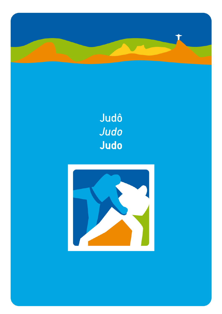

# Judô Judo Judo

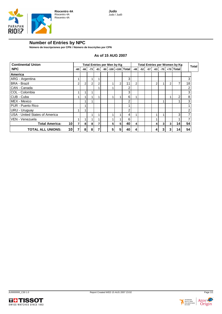

## **Number of Entries by NPC**

**Número de Inscripciones por CPN / Número de Inscrições por CPN**

#### **As of 15 AUG 2007**

| <b>Continental Union</b>                 |     | <b>Total Entries per Men by Kg</b> |       |       |  |   | Total Entries per Women by Kg |                     |       |       |       | <b>Total</b> |       |   |           |    |   |
|------------------------------------------|-----|------------------------------------|-------|-------|--|---|-------------------------------|---------------------|-------|-------|-------|--------------|-------|---|-----------|----|---|
| <b>NPC</b>                               | -60 | $-66$                              | $-73$ | $-81$ |  |   |                               | -90 -100 +100 Total | $-48$ | $-52$ | $-57$ | $-63$        | $-70$ |   | +70 Total |    |   |
| America                                  |     |                                    |       |       |  |   |                               |                     |       |       |       |              |       |   |           |    |   |
| ARG - Argentina                          |     |                                    |       |       |  |   |                               | 3                   |       |       |       |              |       |   |           |    | 3 |
| <b>BRA - Brazil</b>                      | 2   | 2 <sub>1</sub>                     | 2     | 2     |  |   | 2                             | 11                  | 2     |       |       | 2            |       | 2 |           | 18 |   |
| CAN - Canada                             |     |                                    |       |       |  |   |                               | 2                   |       |       |       |              |       |   |           |    | ⌒ |
| COL - Colombia                           |     |                                    |       |       |  |   |                               | 3                   |       |       |       |              |       |   |           |    | っ |
| CUB - Cuba                               |     |                                    |       |       |  |   |                               | 6                   |       |       |       |              |       |   | 2         |    | 8 |
| MEX - Mexico                             |     |                                    |       |       |  |   |                               | 2                   |       |       |       |              |       |   |           |    | 3 |
| PUR - Puerto Rico                        |     |                                    |       |       |  |   |                               |                     |       |       |       |              |       |   |           |    |   |
| URU - Uruguay                            |     |                                    |       |       |  |   |                               | っ                   |       |       |       |              |       |   |           | ◠  |   |
| USA - United States of America           |     |                                    |       |       |  |   |                               | 4                   |       |       |       |              |       |   | 3         |    |   |
| VEN - Venezuela                          |     |                                    |       |       |  |   |                               | 6                   |       |       |       |              |       |   |           |    |   |
| 10 <sup>1</sup><br><b>Total America:</b> | 7   | 8                                  | 8     |       |  | 5 | 5                             | 40                  | 4     |       |       | $\vert$      | 3     | 3 | 14        | 54 |   |
| 10<br><b>TOTAL ALL UNIONS:</b>           |     | 8                                  | 8     |       |  | 5 | 5                             | 40                  | 4     |       |       | 4            | 3     | 3 | 14        | 54 |   |



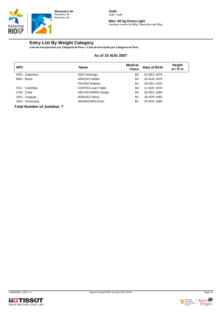

**Men -60 kg Extra-Light** Hombres menos de 60kg / Masculino até 60kg

## **Entry List By Weight Category**

**Lista de Inscripciones por Categoría de Peso / Lista de Inscrições por Categoria de Peso**

#### **As of 15 AUG 2007**

| <b>NPC</b>           | <b>Name</b>               | <b>Medical</b><br><b>Class</b> | Date of Birth | Height<br>$m / ft$ in |
|----------------------|---------------------------|--------------------------------|---------------|-----------------------|
| ARG - Argentina      | DÍAZ Domingo              | <b>B2</b>                      | 24 DEC 1979   |                       |
| <b>BRA</b> - Brazil  | ARAÚJO Helder             | <b>B2</b>                      | 18 AUG 1979   |                       |
|                      | PAIXÃO Roberto            | B <sub>1</sub>                 | 29 DEC 1976   |                       |
| COL - Colombia       | <b>CORTES Juan Pablo</b>  | B <sub>3</sub>                 | 11 NOV 1970   |                       |
| CUB - Cuba           | <b>HECHAVARRIA Sergio</b> | <b>B2</b>                      | 26 DEC 1968   |                       |
| URU - Uruguay        | <b>BORGES Henry</b>       | B <sub>1</sub>                 | 30 APR 1983   |                       |
| VEN - Venezuela<br>. | <b>ARANGUREN Elvin</b>    | B <sub>1</sub>                 | 29 NOV 1985   |                       |

**Total Number of Judokas: 7**





Origin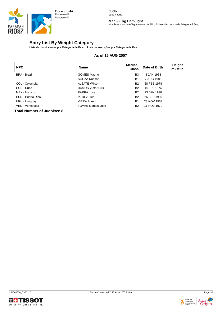

**Men -66 kg Half-Light**

Hombres más de 60kg y menos de 66kg / Masculino acima de 60kg e até 66kg

## **Entry List By Weight Category**

**Lista de Inscripciones por Categoría de Peso / Lista de Inscrições por Categoria de Peso**

#### **As of 15 AUG 2007**

| <b>NPC</b>                  | <b>Name</b>              | <b>Medical</b><br><b>Class</b> | Date of Birth | Height<br>$m / ft$ in |
|-----------------------------|--------------------------|--------------------------------|---------------|-----------------------|
| <b>BRA - Brazil</b>         | GOMES Magno              | B3                             | 3 JAN 1983    |                       |
|                             | SOUZA Robson             | <b>B1</b>                      | 7 AUG 1985    |                       |
| COL - Colombia              | <b>ALZATE Wilson</b>     | <b>B2</b>                      | 28 FEB 1978   |                       |
| CUB - Cuba                  | <b>RAMOS Víctor Luis</b> | B <sub>2</sub>                 | 10 JUL 1974   |                       |
| MEX - Mexico                | PARRA Jose               | <b>B2</b>                      | 23 JAN 1990   |                       |
| PUR - Puerto Rico           | <b>PEREZ Luis</b>        | <b>B2</b>                      | 26 SEP 1986   |                       |
| URU - Uruguay               | VIERA Alfredo            | B <sub>1</sub>                 | 23 NOV 1963   |                       |
| VEN - Venezuela             | <b>TOVAR Marcos Jose</b> | <b>B2</b>                      | 11 NOV 1970   |                       |
| Tatal Museum of Judelines O |                          |                                |               |                       |





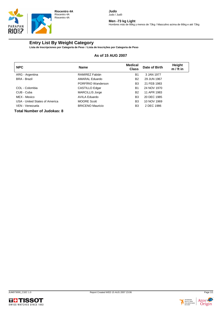

#### **Men -73 kg Light**

Hombres más de 66kg y menos de 73kg / Masculino acima de 66kg e até 73kg

## **Entry List By Weight Category**

**Lista de Inscripciones por Categoría de Peso / Lista de Inscrições por Categoria de Peso**

#### **As of 15 AUG 2007**

| <b>NPC</b>                        | <b>Name</b>             | <b>Medical</b><br><b>Class</b> | Date of Birth | Height<br>$m / ft$ in |
|-----------------------------------|-------------------------|--------------------------------|---------------|-----------------------|
| ARG - Argentina                   | RAMIREZ Fabián          | <b>B1</b>                      | 3 JAN 1977    |                       |
| <b>BRA - Brazil</b>               | AMARAL Eduardo          | <b>B2</b>                      | 29 JUN 1967   |                       |
|                                   | PORFÍRIO Wanderson      | B <sub>3</sub>                 | 21 FEB 1983   |                       |
| COL - Colombia                    | CASTILLO Edgar          | <b>B1</b>                      | 24 NOV 1970   |                       |
| CUB - Cuba                        | <b>MARCILLIS Jorge</b>  | <b>B2</b>                      | 11 APR 1983   |                       |
| MEX - Mexico                      | <b>AVILA Eduardo</b>    | B <sub>3</sub>                 | 20 DEC 1985   |                       |
| USA - United States of America    | <b>MOORE Scott</b>      | B <sub>3</sub>                 | 10 NOV 1969   |                       |
| VEN - Venezuela                   | <b>BRICENO Mauricio</b> | B <sub>3</sub>                 | 2 DEC 1986    |                       |
| <b>Total Number of Judokas: 8</b> |                         |                                |               |                       |



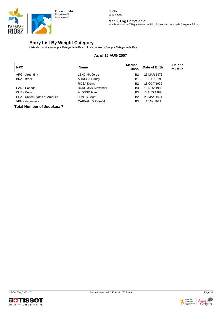

**Men -81 kg Half-Middle**

Hombres más de 73kg y menos de 81kg / Masculino acima de 73kg e até 81kg

## **Entry List By Weight Category**

**Lista de Inscripciones por Categoría de Peso / Lista de Inscrições por Categoria de Peso**

#### **As of 15 AUG 2007**

| <b>NPC</b>                     | <b>Name</b>              | <b>Medical</b><br><b>Class</b> | Date of Birth | Height<br>$m / ft$ in |
|--------------------------------|--------------------------|--------------------------------|---------------|-----------------------|
| ARG - Argentina                | LENCINA Jorge            | <b>B2</b>                      | 26 MAR 1975   |                       |
| <b>BRA - Brazil</b>            | <b>ARRUDA Harley</b>     | <b>B1</b>                      | 5 JUL 1979    |                       |
|                                | <b>ROSA Denis</b>        | <b>B2</b>                      | 18 OCT 1979   |                       |
| CAN - Canada                   | <b>RADOMAN Alexander</b> | B <sub>3</sub>                 | 18 NOV 1988   |                       |
| CUB - Cuba                     | ALONSO Isao              | B <sub>3</sub>                 | 5 AUG 1982    |                       |
| USA - United States of America | <b>JONES Scott</b>       | <b>B2</b>                      | 23 MAY 1974   |                       |
| VEN - Venezuela                | <b>CARVALLO Reinaldo</b> | B <sub>3</sub>                 | 2 JAN 1983    |                       |

**Total Number of Judokas: 7**





Origin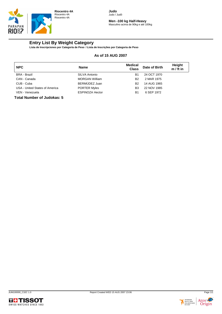

**Men -100 kg Half-Heavy** Masculino acima de 90kg e até 100kg

## **Entry List By Weight Category**

**Lista de Inscripciones por Categoría de Peso / Lista de Inscrições por Categoria de Peso**

#### **As of 15 AUG 2007**

| <b>NPC</b>                     | <b>Name</b>            | Medical<br><b>Class</b> | Date of Birth | Height<br>$m / ft$ in |
|--------------------------------|------------------------|-------------------------|---------------|-----------------------|
| <b>BRA - Brazil</b>            | <b>SILVA Antonio</b>   | B1                      | 24 OCT 1970   |                       |
| CAN - Canada                   | <b>MORGAN William</b>  | B <sub>2</sub>          | 2 MAR 1975    |                       |
| CUB - Cuba                     | BERMÚDEZ Juan          | B <sub>2</sub>          | 14 AUG 1965   |                       |
| USA - United States of America | <b>PORTER Myles</b>    | B3                      | 22 NOV 1985   |                       |
| VEN - Venezuela                | <b>ESPINOZA Hector</b> | B1                      | 6 SEP 1972    |                       |



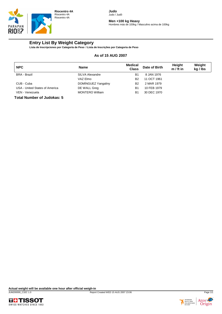

#### **Men +100 kg Heavy**

Hombres más de 100kg / Masculino acima de 100kg

## **Entry List By Weight Category**

**Lista de Inscripciones por Categoría de Peso / Lista de Inscrições por Categoria de Peso**

#### **As of 15 AUG 2007**

| <b>NPC</b>                     | Name                   | <b>Medical</b><br><b>Class</b> | Date of Birth | <b>Height</b><br>$m / ft$ in | Weight<br>kg / lbs |
|--------------------------------|------------------------|--------------------------------|---------------|------------------------------|--------------------|
| <b>BRA - Brazil</b>            | <b>SILVA Alexandre</b> | B1                             | 8 JAN 1976    |                              |                    |
|                                | VAZ Elmo               | B <sub>2</sub>                 | 11 OCT 1961   |                              |                    |
| CUB - Cuba                     | DOMINGUEZ Yangaliny    | <b>B2</b>                      | 2 MAR 1979    |                              |                    |
| USA - United States of America | DE WALL Greg           | B1                             | 10 FEB 1979   |                              |                    |
| VEN - Venezuela                | <b>MONTERO William</b> | B1                             | 30 DEC 1970   |                              |                    |

**Total Number of Judokas: 5**

**Actual weight will be available one hour after official weigh-in**



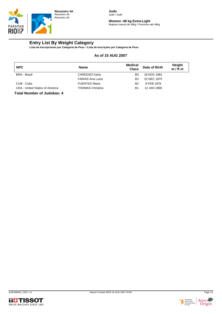

**Women -48 kg Extra-Light** Mujeres menos de 48kg / Feminino até 48kg

## **Entry List By Weight Category**

**Lista de Inscripciones por Categoría de Peso / Lista de Inscrições por Categoria de Peso**

#### **As of 15 AUG 2007**

| <b>NPC</b>                     | <b>Name</b>             | Medical<br><b>Class</b> | Date of Birth | Height<br>$m / ft$ in |
|--------------------------------|-------------------------|-------------------------|---------------|-----------------------|
| <b>BRA - Brazil</b>            | CARDOSO Karla           | B3                      | 18 NOV 1981   |                       |
|                                | <b>FARIAS Ana Luiza</b> | B <sub>2</sub>          | 22 DEC 1975   |                       |
| CUB - Cuba                     | <b>FUENTES María</b>    | B <sub>2</sub>          | 8 FEB 1978    |                       |
| USA - United States of America | <b>THOMAS Christina</b> | B1                      | 12 JAN 1969   |                       |



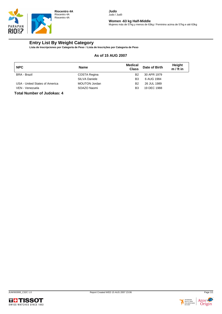

**Women -63 kg Half-Middle**

Mujeres más de 57kg y menos de 63kg / Feminino acima de 57kg e até 63kg

## **Entry List By Weight Category**

**Lista de Inscripciones por Categoría de Peso / Lista de Inscrições por Categoria de Peso**

#### **As of 15 AUG 2007**

| <b>NPC</b>                     | <b>Name</b>          | Medical<br><b>Class</b> | Date of Birth | Height<br>$m / ft$ in |
|--------------------------------|----------------------|-------------------------|---------------|-----------------------|
| <b>BRA - Brazil</b>            | COSTA Regina         | B <sub>2</sub>          | 30 APR 1979   |                       |
|                                | <b>SILVA Daniele</b> | B3                      | 6 AUG 1984    |                       |
| USA - United States of America | <b>MOUTON Jordan</b> | B <sub>2</sub>          | 26 JUL 1989   |                       |
| VEN - Venezuela                | SOAZO Naomi          | B3                      | 19 DEC 1988   |                       |



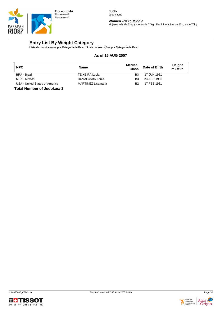

**Women -70 kg Middle**

Mujeres más de 63kg y menos de 70kg / Feminino acima de 63kg e até 70kg

## **Entry List By Weight Category**

**Lista de Inscripciones por Categoría de Peso / Lista de Inscrições por Categoria de Peso**

#### **As of 15 AUG 2007**

| <b>NPC</b>                     | <b>Name</b>               | Medical<br><b>Class</b> | Date of Birth | Height<br>$m / ft$ in |
|--------------------------------|---------------------------|-------------------------|---------------|-----------------------|
| <b>BRA</b> - Brazil            | <b>TEIXEIRA Lucia</b>     | B <sub>3</sub>          | 17 JUN 1981   |                       |
| MEX - Mexico                   | RUVALCABA Lenia           | B3                      | 23 APR 1986   |                       |
| USA - United States of America | <b>MARTINEZ Lisamaria</b> | B <sub>2</sub>          | 17 FEB 1981   |                       |





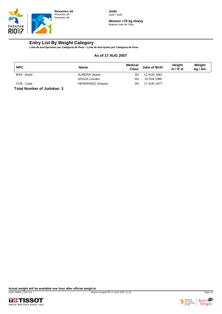

**Women +70 kg Heavy** Mujeres más de 70kg

## **Entry List By Weight Category**

**Lista de Inscripciones por Categoría de Peso / Lista de Inscrições por Categoria de Peso**

#### **As of 17 AUG 2007**

| <b>NPC</b>          | Name                     | <b>Medical</b><br><b>Class</b> | Date of Birth | Height<br>$m / ft$ in | Weight<br>kg / lbs |
|---------------------|--------------------------|--------------------------------|---------------|-----------------------|--------------------|
| <b>BRA - Brazil</b> | ALMEIDA Deane            | B <sub>2</sub>                 | 12 AUG 1981   |                       |                    |
|                     | SOUZA Lourdes            | B <sub>3</sub>                 | 15 FEB 1985   |                       |                    |
| CUB - Cuba          | <b>HERNÁNDEZ Anayasi</b> | B <sub>3</sub>                 | 17 AUG 1977   |                       |                    |



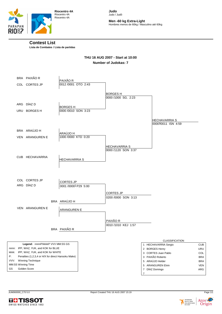

**Men -60 kg Extra-Light** Hombres menos de 60kg / Masculino até 60kg

## **Contest List**

**Lista de Combates / Lista de partidas**

#### **THU 16 AUG 2007 - Start at 10:00 Number of Judokas: 7**

|      | BRA PAIXÃO R                                       | PAIXÃO R             |                                       |                       |            |
|------|----------------------------------------------------|----------------------|---------------------------------------|-----------------------|------------|
|      | COL CORTES JP                                      | 0012 /0001 OTO 2:43  |                                       |                       |            |
|      |                                                    |                      |                                       |                       |            |
|      |                                                    |                      | <b>BORGESH</b><br>0000 /1000 SG. 2:23 |                       |            |
|      |                                                    |                      |                                       |                       |            |
|      | ARG DÍAZ D                                         | <b>BORGESH</b>       |                                       |                       |            |
|      | URU BORGES H                                       | 0000 /0010 SON 3:23  |                                       |                       |            |
|      |                                                    |                      |                                       |                       |            |
|      |                                                    |                      |                                       | <b>HECHAVARRIA S</b>  |            |
|      |                                                    |                      |                                       | 000010011 ISN 4:59    |            |
|      |                                                    |                      |                                       |                       |            |
|      | BRA ARAÚJO H                                       | ARAÚJO H             |                                       |                       |            |
|      | VEN ARANGUREN E                                    | 1000 /0000 KTD 0:20  |                                       |                       |            |
|      |                                                    |                      |                                       |                       |            |
|      |                                                    |                      | <b>HECHAVARRIA S</b>                  |                       |            |
|      |                                                    |                      | 0000 /1120 SON 3:37                   |                       |            |
|      |                                                    |                      |                                       |                       |            |
|      | CUB HECHAVARRIA                                    | <b>HECHAVARRIA S</b> |                                       |                       |            |
|      |                                                    |                      |                                       |                       |            |
|      |                                                    |                      |                                       |                       |            |
|      |                                                    |                      |                                       |                       |            |
|      |                                                    |                      |                                       |                       |            |
|      | COL CORTES JP                                      | <b>CORTES JP</b>     |                                       |                       |            |
|      | ARG DÍAZ D                                         | 0001 /00001 P29 5:00 |                                       |                       |            |
|      |                                                    |                      |                                       |                       |            |
|      |                                                    |                      | <b>CORTES JP</b>                      |                       |            |
|      |                                                    | BRA ARAÚJO H         | 0200 /0000 SON 3:13                   |                       |            |
|      |                                                    |                      |                                       |                       |            |
|      | VEN ARANGUREN E                                    | ARANGUREN E          |                                       |                       |            |
|      |                                                    |                      |                                       |                       |            |
|      |                                                    |                      |                                       |                       |            |
|      |                                                    |                      | PAIXÃO R                              |                       |            |
|      |                                                    |                      | 0010 /1010 KEJ 1:57                   |                       |            |
|      |                                                    | BRA PAIXÃO R         |                                       |                       |            |
|      |                                                    |                      |                                       |                       |            |
|      |                                                    |                      |                                       | <b>CLASSIFICATION</b> |            |
|      | Legend: nnnnP/kkkkP VVV MM:SS GS                   |                      |                                       | 1 HECHAVARRIA Sergio  | <b>CUB</b> |
|      | nnnn: IPP, WAZ, YUK, and KOK for BLUE              |                      |                                       | 2 BORGES Henry        | URU        |
|      | kkkk: IPP, WAZ, YUK, and KOK for WHITE             |                      |                                       | 3 CORTES Juan Pablo   | <b>COL</b> |
| P:   | Penalties (1,2,3,4 or H/X for direct Hansoku Make) |                      |                                       | 3 PAIXÃO Roberto      | <b>BRA</b> |
| VVV: | <b>Winning Technique</b>                           |                      |                                       | 5 ARAÚJO Helder       | <b>BRA</b> |
|      | MM:SS Winning Time                                 |                      |                                       | 5 ARANGUREN Elvin     | <b>VEN</b> |
| GS   | Golden Score                                       |                      |                                       | 7 DÍAZ Domingo        | ARG        |
|      |                                                    |                      |                                       | $\overline{7}$        |            |



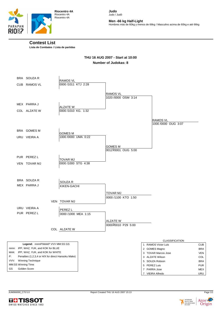

**Riocentro 4A** Riocentro 4A Riocentro 4A

**Judo** Judo / Judô

**Men -66 kg Half-Light**

Hombres más de 60kg y menos de 66kg / Masculino acima de 60kg e até 66kg

#### **Contest List**

**Lista de Combates / Lista de partidas**

#### **THU 16 AUG 2007 - Start at 10:00 Number of Judokas: 8**

|    | BRA SOUZAR                                                                      | <b>RAMOS VL</b>                        |                                        |                                |                   |
|----|---------------------------------------------------------------------------------|----------------------------------------|----------------------------------------|--------------------------------|-------------------|
|    | CUB RAMOS VL                                                                    | 0000 /1011 KTJ 2:28                    |                                        |                                |                   |
|    |                                                                                 |                                        |                                        |                                |                   |
|    |                                                                                 |                                        | <b>RAMOS VL</b><br>1020 /0000 OSM 3:14 |                                |                   |
|    |                                                                                 |                                        |                                        |                                |                   |
|    | MEX PARRA J                                                                     | <b>ALZATE W</b>                        |                                        |                                |                   |
|    | COL ALZATE W                                                                    | 0000 /1010 KG. 1:32                    |                                        |                                |                   |
|    |                                                                                 |                                        |                                        | <b>RAMOS VL</b>                |                   |
|    |                                                                                 |                                        |                                        | 1000 /0000 OUG 3:07            |                   |
|    | BRA GOMES M                                                                     |                                        |                                        |                                |                   |
|    | URU VIEIRA A                                                                    | <b>GOMES M</b><br>1000 /0000 UMA 0:22  |                                        |                                |                   |
|    |                                                                                 |                                        |                                        |                                |                   |
|    |                                                                                 |                                        | <b>GOMES M</b>                         |                                |                   |
|    |                                                                                 |                                        | 00121/0001 OUG 5:00                    |                                |                   |
|    | PUR PEREZ L                                                                     |                                        |                                        |                                |                   |
|    | VEN TOVAR MJ                                                                    | <b>TOVAR MJ</b><br>0000 /1000 STG 4:38 |                                        |                                |                   |
|    |                                                                                 |                                        |                                        |                                |                   |
|    |                                                                                 |                                        |                                        |                                |                   |
|    |                                                                                 |                                        |                                        |                                |                   |
|    | BRA SOUZAR                                                                      | SOUZA R                                |                                        |                                |                   |
|    | MEX PARRA J                                                                     | KIKEN-GACHI                            |                                        |                                |                   |
|    |                                                                                 |                                        | <b>TOVAR MJ</b>                        |                                |                   |
|    |                                                                                 |                                        | 0000 /1100 KTO 1:50                    |                                |                   |
|    |                                                                                 | VEN TOVAR MJ                           |                                        |                                |                   |
|    | URU VIEIRA A                                                                    | PEREZ L                                |                                        |                                |                   |
|    | PUR PEREZ L                                                                     | 0000 /1000 MEA 1:15                    |                                        |                                |                   |
|    |                                                                                 |                                        | <b>ALZATE W</b>                        |                                |                   |
|    |                                                                                 |                                        | 0000 <sup>2</sup> 0010 P29 5:00        |                                |                   |
|    |                                                                                 | COL ALZATE W                           |                                        |                                |                   |
|    |                                                                                 |                                        |                                        |                                |                   |
|    |                                                                                 |                                        |                                        | <b>CLASSIFICATION</b>          |                   |
|    | Legend: nnnnP/kkkkP VVV MM:SS GS                                                |                                        |                                        | 1 RAMOS Víctor Luis            | <b>CUB</b>        |
|    | nnnn: IPP, WAZ, YUK, and KOK for BLUE<br>kkkk: IPP, WAZ, YUK, and KOK for WHITE |                                        |                                        | 2 GOMES Magno                  | <b>BRA</b>        |
| P: | Penalties (1,2,3,4 or H/X for direct Hansoku Make)                              |                                        |                                        | 3 TOVAR Marcos Jose            | <b>VEN</b>        |
|    | VVV: Winning Technique                                                          |                                        |                                        | 3 ALZATE Wilson                | COL<br><b>BRA</b> |
|    | MM:SS Winning Time                                                              |                                        |                                        | 5 SOUZA Robson<br>5 PEREZ Luis | <b>PUR</b>        |
| GS | Golden Score                                                                    |                                        |                                        | 7 PARRA Jose                   | <b>MFX</b>        |





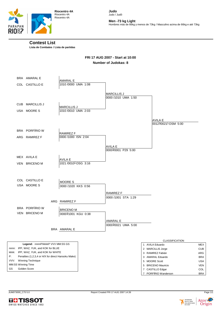

**Men -73 kg Light**

Hombres más de 66kg y menos de 73kg / Masculino acima de 66kg e até 73kg

#### **Contest List**

**Lista de Combates / Lista de partidas**

## **FRI 17 AUG 2007 - Start at 10:00 Number of Judokas: 8**

|      | BRA AMARAL E                                       | AMARAL E                        |                                       |                                        |                          |
|------|----------------------------------------------------|---------------------------------|---------------------------------------|----------------------------------------|--------------------------|
|      | COL CASTILLO E                                     | 1010 /0000 UMA 1:08             |                                       |                                        |                          |
|      |                                                    |                                 | <b>MARCILLIS J</b>                    |                                        |                          |
|      |                                                    |                                 | 0000 /1010 UMA 1:50                   |                                        |                          |
|      | CUB MARCILLIS J                                    | <b>MARCILLIS J</b>              |                                       |                                        |                          |
|      | USA MOORES                                         | 1010 /0010 UMA 2:03             |                                       |                                        |                          |
|      |                                                    |                                 |                                       |                                        |                          |
|      |                                                    |                                 |                                       | AVILA E<br>00121/00211 OSM 5:00        |                          |
|      | BRA PORFÍRIO W                                     |                                 |                                       |                                        |                          |
|      |                                                    | <b>RAMIREZ F</b>                |                                       |                                        |                          |
|      | ARG RAMIREZ F                                      | 0000 /1000 ISN 2:04             |                                       |                                        |                          |
|      |                                                    |                                 |                                       |                                        |                          |
|      |                                                    |                                 | <b>AVILA E</b><br>00001/0001 P29 5:00 |                                        |                          |
|      |                                                    |                                 |                                       |                                        |                          |
|      | MEX AVILA E                                        | AVILA E                         |                                       |                                        |                          |
|      | VEN BRICENO M                                      | 1021/0010 <sup>1</sup> OSG 3:16 |                                       |                                        |                          |
|      |                                                    |                                 |                                       |                                        |                          |
|      |                                                    |                                 |                                       |                                        |                          |
|      | COL CASTILLO E                                     |                                 |                                       |                                        |                          |
|      | USA MOORES                                         | MOORE S                         |                                       |                                        |                          |
|      |                                                    | 0000 /1020 KKS 0:56             |                                       |                                        |                          |
|      |                                                    |                                 | RAMIREZ F                             |                                        |                          |
|      |                                                    |                                 | 0000 /1001 STA 1:29                   |                                        |                          |
|      |                                                    | ARG RAMIREZ F                   |                                       |                                        |                          |
|      | <b>BRA</b> PORFÍRIO W                              | <b>BRICENO M</b>                |                                       |                                        |                          |
|      | VEN BRICENO M                                      | 000011001 KGU 0:38              |                                       |                                        |                          |
|      |                                                    |                                 | AMARAL E                              |                                        |                          |
|      |                                                    |                                 | 00001/0021 UMA 5:00                   |                                        |                          |
|      |                                                    | BRA AMARAL E                    |                                       |                                        |                          |
|      |                                                    |                                 |                                       |                                        |                          |
|      |                                                    |                                 |                                       | <b>CLASSIFICATION</b>                  |                          |
|      | Legend: nnnnP/kkkkP VVV MM:SS GS                   |                                 |                                       | $\overline{ }$<br>1 AVILA Eduardo      | <b>MEX</b>               |
|      | nnnn: IPP, WAZ, YUK, and KOK for BLUE              |                                 |                                       | 2 MARCILLIS Jorge                      | <b>CUB</b>               |
|      | kkkk: IPP, WAZ, YUK, and KOK for WHITE             |                                 |                                       | 3 RAMIREZ Fabián                       | ARG                      |
| P:   | Penalties (1,2,3,4 or H/X for direct Hansoku Make) |                                 |                                       | 3 AMARAL Eduardo                       | <b>BRA</b>               |
| VVV: | Winning Technique<br>MM:SS Winning Time            |                                 |                                       | 5 MOORE Scott                          | <b>USA</b>               |
| GS   | Golden Score                                       |                                 |                                       | 5 BRICENO Mauricio<br>7 CASTILLO Edgar | <b>VEN</b><br><b>COL</b> |
|      |                                                    |                                 |                                       | 7 PORFÍRIO Wanderson                   | <b>BRA</b>               |

 $MM$  ${\tt GS}$ 



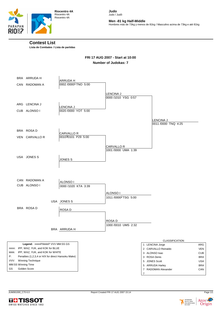

**Men -81 kg Half-Middle**

Hombres más de 73kg y menos de 81kg / Masculino acima de 73kg e até 81kg

#### **Contest List**

**Lista de Combates / Lista de partidas**

## **FRI 17 AUG 2007 - Start at 10:00 Number of Judokas: 7**

|       | BRA ARRUDA H                                       | <b>ARRUDA H</b>      |                                         |                                          |            |
|-------|----------------------------------------------------|----------------------|-----------------------------------------|------------------------------------------|------------|
|       | CAN RADOMAN A                                      | 0002 /00001 TNO 5:00 |                                         |                                          |            |
|       |                                                    |                      |                                         |                                          |            |
|       |                                                    |                      | <b>LENCINA J</b><br>0000 /1010 YSG 0:57 |                                          |            |
|       |                                                    |                      |                                         |                                          |            |
|       | ARG LENCINA J                                      | <b>LENCINA J</b>     |                                         |                                          |            |
|       | CUB ALONSO I                                       | 0020 /0000 YOT 5:00  |                                         |                                          |            |
|       |                                                    |                      |                                         |                                          |            |
|       |                                                    |                      |                                         | <b>LENCINA J</b><br>0011 /0000 TNQ 4:25  |            |
|       |                                                    |                      |                                         |                                          |            |
|       | BRA ROSAD                                          | <b>CARVALLO R</b>    |                                         |                                          |            |
|       | VEN CARVALLOR                                      | 001030101 P29 5:00   |                                         |                                          |            |
|       |                                                    |                      |                                         |                                          |            |
|       |                                                    |                      | CARVALLO R                              |                                          |            |
|       |                                                    |                      | 1001 /0000 UMA 1:39                     |                                          |            |
|       | USA JONES S                                        |                      |                                         |                                          |            |
|       |                                                    | <b>JONES S</b>       |                                         |                                          |            |
|       |                                                    |                      |                                         |                                          |            |
|       |                                                    |                      |                                         |                                          |            |
|       |                                                    |                      |                                         |                                          |            |
|       | CAN RADOMAN A                                      | ALONSO I             |                                         |                                          |            |
|       | CUB ALONSO I                                       | 0000 /1020 KTA 3:39  |                                         |                                          |            |
|       |                                                    |                      |                                         |                                          |            |
|       |                                                    |                      | ALONSO I                                |                                          |            |
|       |                                                    | USA JONES S          | 1011 /0000 <sup>2</sup> TSG 5:00        |                                          |            |
|       |                                                    |                      |                                         |                                          |            |
|       | BRA ROSAD                                          | <b>ROSAD</b>         |                                         |                                          |            |
|       |                                                    |                      |                                         |                                          |            |
|       |                                                    |                      | ROSA D                                  |                                          |            |
|       |                                                    |                      | 1000 /0010 UMS 2:32                     |                                          |            |
|       |                                                    | BRA ARRUDA H         |                                         |                                          |            |
|       |                                                    |                      |                                         |                                          |            |
|       |                                                    |                      |                                         |                                          |            |
|       | Legend: nnnnP/kkkkP VVV MM:SS GS                   |                      |                                         | <b>CLASSIFICATION</b><br>1 LENCINA Jorge | ARG        |
|       | nnnn: IPP, WAZ, YUK, and KOK for BLUE              |                      |                                         | 2 CARVALLO Reinaldo                      | <b>VEN</b> |
| kkkk: | IPP, WAZ, YUK, and KOK for WHITE                   |                      |                                         | 3 ALONSO Isao                            | <b>CUB</b> |
| P:    | Penalties (1,2,3,4 or H/X for direct Hansoku Make) |                      |                                         | 3 ROSA Denis                             | <b>BRA</b> |
| VVV:  | <b>Winning Technique</b>                           |                      |                                         | 5 JONES Scott                            | <b>USA</b> |
| GS    | MM:SS Winning Time<br>Golden Score                 |                      |                                         | 5 ARRUDA Harley                          | <b>BRA</b> |
|       |                                                    |                      |                                         | 7 RADOMAN Alexander<br>$\overline{7}$    | CAN        |
|       |                                                    |                      |                                         |                                          |            |



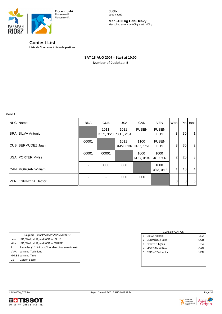

**Riocentro 4A** Riocentro 4A Riocentro 4A

**Judo** Judo / Judô

**Men -100 kg Half-Heavy** Masculino acima de 90kg e até 100kg

## **Contest List**

**Lista de Combates / Lista de partidas**

#### **SAT 18 AUG 2007 - Start at 10:00 Number of Judokas: 5**

Pool 1

| NPC Name                   | <b>BRA</b> | <b>CUB</b>        | <b>USA</b>        | <b>CAN</b>                  | <b>VEN</b>                 | Won            |    | Pts Rank       |
|----------------------------|------------|-------------------|-------------------|-----------------------------|----------------------------|----------------|----|----------------|
| <b>BRA SILVA Antonio</b>   |            | 1011<br>KKS, 3:28 | 1011<br>SOT, 2:04 | <b>FUSEN</b>                | <b>FUSEN</b><br><b>FUS</b> | 3              | 30 | 1              |
| CUB BERMÚDEZ Juan          | 00001      |                   | 1011              | 1100<br>UMM, 3:36 HRG, 1:51 | <b>FUSEN</b><br><b>FUS</b> | 3              | 30 | $\overline{2}$ |
| USA   PORTER Myles         | 00001      | 00001             |                   | 1000<br>KUG, 0:04           | 1000<br>JG, 0:56           | 2 <sub>1</sub> | 20 | 3              |
| <b>CAN IMORGAN William</b> |            | 0000              | 0000              |                             | 1000<br>OSM, 0:18          |                | 10 | $\overline{4}$ |
| VEN ESPINOZA Hector        |            |                   | 0000              | 0000                        |                            | $\mathbf{0}$   | 0  | 5              |

|       | Legend: nnnnP/kkkkP VVV MM:SS GS                   |
|-------|----------------------------------------------------|
| nnnn: | IPP, WAZ, YUK, and KOK for BLUE                    |
| kkkk: | IPP, WAZ, YUK, and KOK for WHITE                   |
| P:    | Penalties (1,2,3,4 or H/X for direct Hansoku Make) |
|       | VVV: Winning Technique                             |
|       | MM:SS Winning Time                                 |
| GS    | Golden Score                                       |
|       |                                                    |

| <b>CLASSIFICATION</b>      |     |
|----------------------------|-----|
| SII VA Antonio<br>1        | BRA |
| 2 BERMÚDEZ Juan            | CUB |
| 3 PORTER Myles             | USA |
| <b>MORGAN William</b><br>4 | CAN |
| 5 ESPINOZA Hector          | VEN |
|                            |     |
|                            |     |



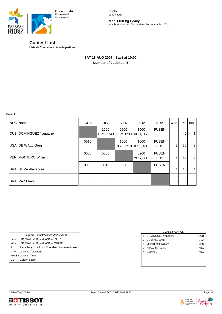

**Men +100 kg Heavy** Hombres más de 100kg / Masculino acima de 100kg

## **Contest List**

**Lista de Combates / Lista de partidas**

### **SAT 18 AUG 2007 - Start at 10:00 Number of Judokas: 5**

Pool 1

| NPC Name                    | <b>CUB</b> | <b>USA</b> | <b>VEN</b>                            | <b>BRA</b>        | <b>BRA</b>                 | Won |                 | Pts Rank       |
|-----------------------------|------------|------------|---------------------------------------|-------------------|----------------------------|-----|-----------------|----------------|
| CUB DOMÍNGUEZ Yangaliny     |            | 1000       | 0200<br>HRG, 1:43 OSM, 0:39 KEG, 0:29 | 1000              | <b>FUSEN</b>               | 4   | 40              | 1              |
| USA <b>DE WALL Greg</b>     | 0010       |            | 1000<br>OGO, 2:10   KKE, 4:15         | 1000              | <b>FUSEN</b><br><b>FUS</b> | 3   | 30              | 2              |
| <b>VEN IMONTERO William</b> | 0000       | 0000       |                                       | 0200<br>YSG, 3:19 | <b>FUSEN</b><br><b>FUS</b> | 2   | 20              | 3              |
| <b>BRA SILVA Alexandre</b>  | 0000       | 0010       | 0000                                  |                   | <b>FUSEN</b>               | 1   | 10 <sup>1</sup> | $\overline{4}$ |
| <b>BRA IVAZ Elmo</b>        |            |            |                                       |                   |                            | 0   | $\mathbf 0$     | 5              |

|       | Legend: nnnnP/kkkkP VVV MM:SS GS                   |
|-------|----------------------------------------------------|
| nnnn: | IPP, WAZ, YUK, and KOK for BLUE                    |
| kkkk: | IPP, WAZ, YUK, and KOK for WHITE                   |
| P:    | Penalties (1,2,3,4 or H/X for direct Hansoku Make) |
| VVV:  | Winning Technique                                  |
|       | MM:SS Winning Time                                 |
| GS —  | Golden Score                                       |

|   | <b>CLASSIFICATION</b>  |            |
|---|------------------------|------------|
| 1 | DOMÍNGUEZ Yangaliny    | CUB        |
|   | 2 DE WALL Greg         | USA        |
| 3 | <b>MONTERO William</b> | VEN        |
| 4 | SILVA Alexandre        | BRA        |
| 5 | VAZ Elmo               | <b>BRA</b> |
|   |                        |            |
|   |                        |            |



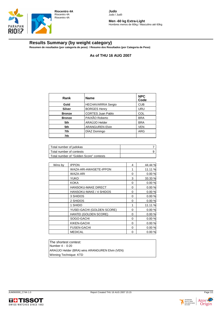

**Men -60 kg Extra-Light** Hombres menos de 60kg / Masculino até 60kg

## **Results Summary (by weight category)**

**Resumen de resultados (por categoría de peso) / Resumo dos Resultados (por Categoria de Peso)**

**As of THU 16 AUG 2007**

| Rank          | <b>Name</b>               | <b>NPC</b><br>Code |
|---------------|---------------------------|--------------------|
| Gold          | <b>HECHAVARRIA Sergio</b> | <b>CUB</b>         |
| Silver        | <b>BORGES Henry</b>       | <b>URU</b>         |
| <b>Bronze</b> | <b>CORTES Juan Pablo</b>  | <b>COL</b>         |
| <b>Bronze</b> | PAIXÃO Roberto            | <b>BRA</b>         |
| 5th           | ARAÚJO Helder             | <b>BRA</b>         |
| 5th           | <b>ARANGUREN Elvin</b>    | <b>VEN</b>         |
| 7th           | DÍAZ Domingo              | <b>ARG</b>         |
| 7th           |                           |                    |

| Total number of judokas                 |  |
|-----------------------------------------|--|
| Total number of contests                |  |
| Total number of "Golden Score" contests |  |

| <b>IPPON</b>               | 4        | 44.44 % |
|----------------------------|----------|---------|
| WAZA-ARI-AWASETE-IPPON     | 1        | 11.11 % |
| WAZA-ARI                   | 0        | 0.00%   |
| <b>YUKO</b>                | 3        | 33.33 % |
| KOKA                       | 0        | 0.00%   |
| <b>HANSOKU-MAKE DIRECT</b> | 0        | 0.00%   |
| HANSOKU-MAKE / 4 SHIDOS    | 0        | 0.00%   |
| 3 SHIDOS                   | 0        | 0.00 %  |
| 2 SHIDOS                   | 0        | 0.00%   |
| 1 SHIDO                    | 1        | 11.11 % |
| YUSEI-GACHI (GOLDEN SCORE) | 0        | 0.00%   |
| HANTEI (GOLDEN SCORE)      | 0        | 0.00%   |
| SOGO-GACHI                 | $\Omega$ | 0.00%   |
| KIKEN-GACHI                | 0        | 0.00%   |
| <b>FUSEN-GACHI</b>         | 0        | 0.00%   |
| <b>MEDICAL</b>             | 0        | 0.00%   |
|                            |          |         |

The shortest contest: Number 4 - 0:20 ARAÚJO Helder (BRA) wins ARANGUREN Elvin (VEN) Winning Technique: KTD



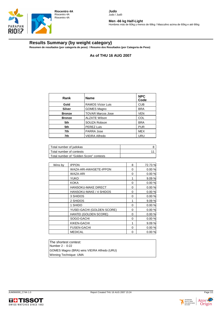

Judo / Judô

**Men -66 kg Half-Light** Hombres más de 60kg y menos de 66kg / Masculino acima de 60kg e até 66kg

## **Results Summary (by weight category)**

**Resumen de resultados (por categoría de peso) / Resumo dos Resultados (por Categoria de Peso)**

**As of THU 16 AUG 2007**

**Judo**

| Rank          | <b>Name</b>              | <b>NPC</b><br>Code |
|---------------|--------------------------|--------------------|
| Gold          | <b>RAMOS Víctor Luis</b> | <b>CUB</b>         |
| <b>Silver</b> | <b>GOMES Magno</b>       | <b>BRA</b>         |
| <b>Bronze</b> | <b>TOVAR Marcos Jose</b> | <b>VEN</b>         |
| <b>Bronze</b> | <b>ALZATE Wilson</b>     | <b>COL</b>         |
| 5th           | SOUZA Robson             | <b>BRA</b>         |
| 5th           | PEREZ Luis               | <b>PUR</b>         |
| 7th           | <b>PARRA Jose</b>        | <b>MEX</b>         |
| 7th           | <b>VIEIRA Alfredo</b>    | URU                |

| Total number of judokas                 |  |
|-----------------------------------------|--|
| Total number of contests                |  |
| Total number of "Golden Score" contests |  |

| Wins by | <b>IPPON</b>               | 8 | 72.73 % |
|---------|----------------------------|---|---------|
|         | WAZA-ARI-AWASETE-IPPON     | 0 | 0.00%   |
|         | WAZA-ARI                   | 0 | 0.00%   |
|         | <b>YUKO</b>                | 1 | 9.09 %  |
|         | <b>KOKA</b>                | 0 | 0.00%   |
|         | <b>HANSOKU-MAKE DIRECT</b> | 0 | 0.00%   |
|         | HANSOKU-MAKE / 4 SHIDOS    | 0 | 0.00%   |
|         | 3 SHIDOS                   | 0 | 0.00%   |
|         | 2 SHIDOS                   | 1 | 9.09 %  |
|         | 1 SHIDO                    | 0 | 0.00%   |
|         | YUSEI-GACHI (GOLDEN SCORE) | 0 | 0.00%   |
|         | HANTEI (GOLDEN SCORE)      | 0 | 0.00%   |
|         | SOGO-GACHI                 | 0 | 0.00%   |
|         | KIKEN-GACHI                | 1 | 9.09 %  |
|         | <b>FUSEN-GACHI</b>         | 0 | 0.00%   |
|         | <b>MEDICAL</b>             | 0 | 0.00%   |
|         |                            |   |         |

The shortest contest: Number 2 - 0:22 GOMES Magno (BRA) wins VIEIRA Alfredo (URU) Winning Technique: UMA



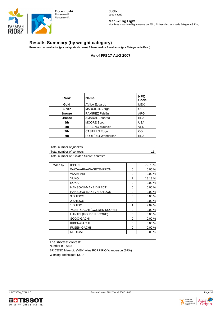

**Men -73 kg Light** Hombres más de 66kg y menos de 73kg / Masculino acima de 66kg e até 73kg

## **Results Summary (by weight category)**

**Resumen de resultados (por categoría de peso) / Resumo dos Resultados (por Categoria de Peso)**

**As of FRI 17 AUG 2007**

| Rank          | <b>Name</b>             | <b>NPC</b><br>Code |
|---------------|-------------------------|--------------------|
| Gold          | <b>AVILA Eduardo</b>    | <b>MEX</b>         |
| Silver        | <b>MARCILLIS Jorge</b>  | <b>CUB</b>         |
| <b>Bronze</b> | RAMIREZ Fabián          | <b>ARG</b>         |
| <b>Bronze</b> | <b>AMARAL Eduardo</b>   | <b>BRA</b>         |
| 5th           | <b>MOORE Scott</b>      | <b>USA</b>         |
| 5th           | <b>BRICENO Mauricio</b> | <b>VEN</b>         |
| 7th           | <b>CASTILLO Edgar</b>   | <b>COL</b>         |
| 7th           | PORFÍRIO Wanderson      | <b>BRA</b>         |

| Total number of judokas                 |  |
|-----------------------------------------|--|
| Total number of contests                |  |
| Total number of "Golden Score" contests |  |

| <b>IPPON</b>               | 8        | 72.73% |
|----------------------------|----------|--------|
| WAZA-ARI-AWASETE-IPPON     | 0        | 0.00%  |
| WAZA-ARI                   | 0        | 0.00%  |
| <b>YUKO</b>                | 2        | 18.18% |
| <b>KOKA</b>                | 0        | 0.00%  |
| HANSOKU-MAKE DIRECT        | 0        | 0.00%  |
| HANSOKU-MAKE / 4 SHIDOS    | 0        | 0.00%  |
| 3 SHIDOS                   | 0        | 0.00%  |
| 2 SHIDOS                   | 0        | 0.00%  |
| 1 SHIDO                    | 1        | 9.09 % |
| YUSEI-GACHI (GOLDEN SCORE) | 0        | 0.00 % |
| HANTEI (GOLDEN SCORE)      | 0        | 0.00%  |
| SOGO-GACHI                 | $\Omega$ | 0.00%  |
| KIKEN-GACHI                | 0        | 0.00%  |
| <b>FUSEN-GACHI</b>         | 0        | 0.00%  |
| <b>MEDICAL</b>             | 0        | 0.00%  |
|                            |          |        |

The shortest contest: Number 9 - 0:38 BRICENO Mauricio (VEN) wins PORFÍRIO Wanderson (BRA) Winning Technique: KGU



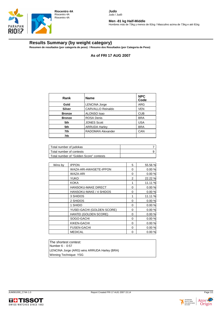

**Men -81 kg Half-Middle** Hombres más de 73kg y menos de 81kg / Masculino acima de 73kg e até 81kg

#### **Results Summary (by weight category)**

**Resumen de resultados (por categoría de peso) / Resumo dos Resultados (por Categoria de Peso)**

**As of FRI 17 AUG 2007**

| Rank          | <b>Name</b>              | <b>NPC</b><br>Code |
|---------------|--------------------------|--------------------|
| Gold          | <b>LENCINA Jorge</b>     | <b>ARG</b>         |
| Silver        | CARVALLO Reinaldo        | <b>VEN</b>         |
| <b>Bronze</b> | ALONSO Isao              | <b>CUB</b>         |
| <b>Bronze</b> | <b>ROSA Denis</b>        | <b>BRA</b>         |
| 5th           | <b>JONES Scott</b>       | <b>USA</b>         |
| 5th           | <b>ARRUDA Harley</b>     | <b>BRA</b>         |
| 7th           | <b>RADOMAN Alexander</b> | CAN                |
| 7th           |                          |                    |

| Total number of judokas                 |  |
|-----------------------------------------|--|
| Total number of contests                |  |
| Total number of "Golden Score" contests |  |

| <b>IPPON</b>               | 5        | 55.56 % |
|----------------------------|----------|---------|
| WAZA-ARI-AWASETE-IPPON     | 0        | 0.00%   |
| WAZA-ARI                   | 0        | 0.00%   |
| <b>YUKO</b>                | 2        | 22.22 % |
| KOKA                       | 1        | 11.11 % |
| <b>HANSOKU-MAKE DIRECT</b> | 0        | 0.00%   |
| HANSOKU-MAKE / 4 SHIDOS    | 0        | 0.00%   |
| 3 SHIDOS                   | 1        | 11.11 % |
| 2 SHIDOS                   | 0        | 0.00%   |
| 1 SHIDO                    | 0        | 0.00%   |
| YUSEI-GACHI (GOLDEN SCORE) | 0        | 0.00%   |
| HANTEI (GOLDEN SCORE)      | 0        | 0.00%   |
| SOGO-GACHI                 | $\Omega$ | 0.00%   |
| KIKEN-GACHI                | 0        | 0.00%   |
| <b>FUSEN-GACHI</b>         | 0        | 0.00%   |
| <b>MEDICAL</b>             | 0        | 0.00%   |
|                            |          |         |

The shortest contest: Number 6 - 0:57 LENCINA Jorge (ARG) wins ARRUDA Harley (BRA) Winning Technique: YSG



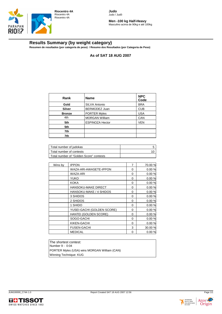

**Men -100 kg Half-Heavy** Masculino acima de 90kg e até 100kg

## **Results Summary (by weight category)**

**Resumen de resultados (por categoría de peso) / Resumo dos Resultados (por Categoria de Peso)**

**As of SAT 18 AUG 2007**

| Rank          | <b>Name</b>            | <b>NPC</b><br>Code |
|---------------|------------------------|--------------------|
| Gold          | <b>SILVA Antonio</b>   | <b>BRA</b>         |
| Silver        | BERMÚDEZ Juan          | <b>CUB</b>         |
| <b>Bronze</b> | <b>PORTER Myles</b>    | <b>USA</b>         |
| 4th           | <b>MORGAN William</b>  | CAN                |
| 5th           | <b>ESPINOZA Hector</b> | <b>VEN</b>         |
| 5th           |                        |                    |
| 7th           |                        |                    |
| 7th           |                        |                    |

| Total number of judokas                 |  |
|-----------------------------------------|--|
| Total number of contests                |  |
| Total number of "Golden Score" contests |  |

| Wins by | <b>IPPON</b>               | 7 | 70.00 % |
|---------|----------------------------|---|---------|
|         | WAZA-ARI-AWASETE-IPPON     | 0 | 0.00%   |
|         | <b>WAZA-ARI</b>            | 0 | 0.00%   |
|         | YUKO                       | 0 | 0.00%   |
|         | <b>KOKA</b>                | 0 | 0.00%   |
|         | <b>HANSOKU-MAKE DIRECT</b> | 0 | 0.00%   |
|         | HANSOKU-MAKE / 4 SHIDOS    | 0 | 0.00 %  |
|         | 3 SHIDOS                   | 0 | 0.00%   |
|         | 2 SHIDOS                   | 0 | 0.00%   |
|         | 1 SHIDO                    | 0 | 0.00%   |
|         | YUSEI-GACHI (GOLDEN SCORE) | 0 | 0.00%   |
|         | HANTEI (GOLDEN SCORE)      | 0 | 0.00%   |
|         | SOGO-GACHI                 | 0 | 0.00%   |
|         | KIKEN-GACHI                | 0 | 0.00%   |
|         | <b>FUSEN-GACHI</b>         | 3 | 30.00 % |
|         | <b>MEDICAL</b>             | 0 | 0.00%   |
|         |                            |   |         |

The shortest contest: Number 9 - 0:04 PORTER Myles (USA) wins MORGAN William (CAN) Winning Technique: KUG



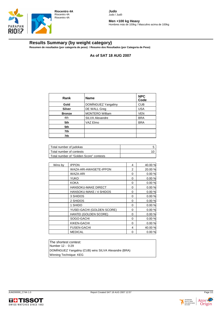

**Men +100 kg Heavy** Hombres más de 100kg / Masculino acima de 100kg

## **Results Summary (by weight category)**

**Resumen de resultados (por categoría de peso) / Resumo dos Resultados (por Categoria de Peso)**

**As of SAT 18 AUG 2007**

**Judo** Judo / Judô

| Rank          | <b>Name</b>            | <b>NPC</b><br>Code |
|---------------|------------------------|--------------------|
| Gold          | DOMÍNGUEZ Yangaliny    | <b>CUB</b>         |
| Silver        | DE WALL Greg           | <b>USA</b>         |
| <b>Bronze</b> | <b>MONTERO William</b> | <b>VEN</b>         |
| 4th           | SILVA Alexandre        | <b>BRA</b>         |
| 5th           | VAZ Elmo               | <b>BRA</b>         |
| 5th           |                        |                    |
| 7th           |                        |                    |
| 7th           |                        |                    |

| Total number of judokas                 |  |
|-----------------------------------------|--|
| Total number of contests                |  |
| Total number of "Golden Score" contests |  |

| <b>IPPON</b>               | 4        | 40.00 % |
|----------------------------|----------|---------|
| WAZA-ARI-AWASETE-IPPON     | 2        | 20.00 % |
| WAZA-ARI                   | 0        | 0.00%   |
| <b>YUKO</b>                | 0        | 0.00 %  |
| <b>KOKA</b>                | 0        | 0.00%   |
| HANSOKU-MAKE DIRECT        | 0        | 0.00%   |
| HANSOKU-MAKE / 4 SHIDOS    | 0        | 0.00%   |
| 3 SHIDOS                   | 0        | 0.00%   |
| 2 SHIDOS                   | 0        | 0.00%   |
| 1 SHIDO                    | 0        | 0.00%   |
| YUSEI-GACHI (GOLDEN SCORE) | 0        | 0.00 %  |
| HANTEI (GOLDEN SCORE)      | 0        | 0.00%   |
| SOGO-GACHI                 | 0        | 0.00%   |
| KIKEN-GACHI                | $\Omega$ | 0.00%   |
| <b>FUSEN-GACHI</b>         | 4        | 40.00 % |
| <b>MEDICAL</b>             | 0        | 0.00%   |
|                            |          |         |

The shortest contest: Number 12 - 0:29 DOMÍNGUEZ Yangaliny (CUB) wins SILVA Alexandre (BRA) Winning Technique: KEG



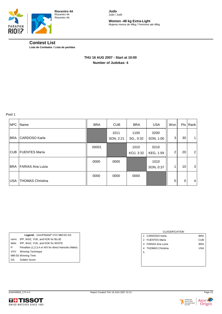

**Women -48 kg Extra-Light** Mujeres menos de 48kg / Feminino até 48kg

## **Contest List**

**Lista de Combates / Lista de partidas**

### **THU 16 AUG 2007 - Start at 10:00 Number of Judokas: 4**

Pool 1

| NPC        | Name                    | <b>BRA</b> | <b>CUB</b>        | <b>BRA</b>        | <b>USA</b>        | Won            |             | Pts   Rank     |
|------------|-------------------------|------------|-------------------|-------------------|-------------------|----------------|-------------|----------------|
| <b>BRA</b> | <b>CARDOSO Karla</b>    |            | 1011<br>SON, 2:21 | 1100<br>SG., 0:32 | 0200<br>SON, 1:00 | 3              | 30          |                |
| CUB        | <b>FUENTES María</b>    | 00001      |                   | 1010<br>KOJ, 3:32 | 0210<br>KEG, 1:59 | $\overline{2}$ | 20          | $\overline{2}$ |
| <b>BRA</b> | <b>FARIAS Ana Luiza</b> | 0000       | 0000              |                   | 1010<br>SON, 0:37 |                | 10          | 3              |
| <b>USA</b> | <b>THOMAS Christina</b> | 0000       | 0000              | 0000              |                   | 0              | $\mathbf 0$ | 4              |

|       | Legend: nnnnP/kkkkP VVV MM:SS GS                   |
|-------|----------------------------------------------------|
| nnnn: | IPP. WAZ. YUK. and KOK for BLUE                    |
| kkkk: | IPP, WAZ, YUK, and KOK for WHITE                   |
| P:    | Penalties (1,2,3,4 or H/X for direct Hansoku Make) |
| VVV:  | <b>Winning Technique</b>                           |
|       | MM:SS Winning Time                                 |
| GS    | Golden Score                                       |
|       |                                                    |

# CLASSIFICATION 1 CARDOSO Karla BRA 2 FUENTES María **CUB** 3 FARIAS Ana Luiza **BRA** 4 THOMAS Christina **USA** 5



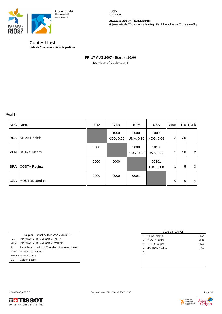

**Women -63 kg Half-Middle** Mujeres más de 57kg y menos de 63kg / Feminino acima de 57kg e até 63kg

## **Contest List**

**Lista de Combates / Lista de partidas**

### **FRI 17 AUG 2007 - Start at 10:00 Number of Judokas: 4**

Pool 1

| <b>NPC</b> | Name                 | <b>BRA</b> | <b>VEN</b>        | <b>BRA</b>        | <b>USA</b>         | Won                      |             | Pts Rank       |
|------------|----------------------|------------|-------------------|-------------------|--------------------|--------------------------|-------------|----------------|
| <b>BRA</b> | <b>SILVA Daniele</b> |            | 1000<br>KOG, 0:20 | 1000<br>UMA, 0:16 | 1000<br>KOG, 0:05  | 3                        | 30          | 1              |
| <b>VEN</b> | SOAZO Naomi          | 0000       |                   | 1000<br>KOG, 0:35 | 1010<br>UMA, 0:58  | $\overline{c}$           | 20          | $\overline{2}$ |
| <b>BRA</b> | COSTA Regina         | 0000       | 0000              |                   | 00101<br>TNO, 5:00 | $\overline{\phantom{a}}$ | 5           | 3              |
| <b>USA</b> | <b>MOUTON Jordan</b> | 0000       | 0000              | 0001              |                    | 0                        | $\mathbf 0$ | 4              |

|       | Legend: nnnnP/kkkkP VVV MM:SS GS                   |
|-------|----------------------------------------------------|
| nnnn: | IPP, WAZ, YUK, and KOK for BLUE                    |
| kkkk: | IPP, WAZ, YUK, and KOK for WHITE                   |
| P:    | Penalties (1,2,3,4 or H/X for direct Hansoku Make) |
| VVV:  | <b>Winning Technique</b>                           |
|       | MM:SS Winning Time                                 |
| GS    | Golden Score                                       |
|       |                                                    |

# CLASSIFICATION 1 SILVA Daniele BRA 2 SOAZO Naomi VEN 3 COSTA Regina BRA 4 MOUTON Jordan USA 5



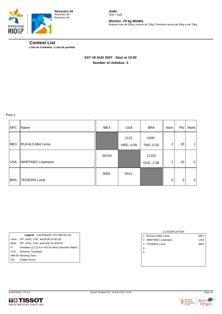

**Women -70 kg Middle** Mujeres más de 63kg y menos de 70kg / Feminino acima de 63kg e até 70kg

## **Contest List**

**Lista de Combates / Lista de partidas**

## **SAT 18 AUG 2007 - Start at 10:00 Number of Judokas: 3**

Pool 1

| <b>NPC</b> | Name                  | MEX   | <b>USA</b> | <b>BRA</b> | Won         | Pts         | Rank           |
|------------|-----------------------|-------|------------|------------|-------------|-------------|----------------|
|            |                       |       | 1122       | 1000       |             |             |                |
| <b>MEX</b> | RUVALCABA Lenia       |       | HRG, 4:09  | TNO, 0:25  | 2           | 20          | $\mathbf 1$    |
|            |                       | 00103 |            | 11101      |             |             |                |
| <b>USA</b> | MARTINEZ Lisamaria    |       |            | OUC, 2:38  |             | 10          | $\overline{2}$ |
|            |                       | 0000  | 0011       |            |             |             |                |
| <b>BRA</b> | <b>TEIXEIRA Lucia</b> |       |            |            | $\mathbf 0$ | $\mathbf 0$ | 3              |

|       | Legend: nnnnP/kkkkP VVV MM:SS GS                   |
|-------|----------------------------------------------------|
| nnnn: | IPP, WAZ, YUK, and KOK for BLUE                    |
| kkkk: | IPP, WAZ, YUK, and KOK for WHITE                   |
| P:    | Penalties (1,2,3,4 or H/X for direct Hansoku Make) |
|       | VVV: Winning Technique                             |
|       | MM:SS Winning Time                                 |
| GS —  | Golden Score                                       |
|       |                                                    |

|               | <b>CLASSIFICATION</b>     |            |
|---------------|---------------------------|------------|
| 1             | RUVALCABA Lenia           | <b>MEX</b> |
| $\mathcal{P}$ | <b>MARTINEZ Lisamaria</b> | <b>USA</b> |
|               | 3 TEIXEIRA Lucia          | <b>BRA</b> |
| 4             |                           |            |
| 5             |                           |            |
|               |                           |            |
|               |                           |            |
|               |                           |            |



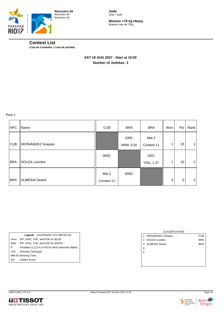

**Women +70 kg Heavy** Mujeres más de 70kg

#### **Contest List Lista de Combates / Lista de partidas**

 **SAT 18 AUG 2007 - Start at 10:00 Number of Judokas: 3** 

Pool 1

| <b>NPC</b> | Name                 | <b>CUB</b>          | <b>BRA</b>        | <b>BRA</b>          | Won      | Pts         | Rank           |
|------------|----------------------|---------------------|-------------------|---------------------|----------|-------------|----------------|
| <b>CUB</b> | HERNÁNDEZ Anayasi    |                     | 1000<br>HRM, 0:26 | Mat 2<br>Contest 11 |          | 20          | 1              |
| <b>BRA</b> | <b>SOUZA Lourdes</b> | 0000                |                   | 1001<br>YSG, 1:37   |          | 10          | $\overline{2}$ |
| <b>BRA</b> | <b>ALMEIDA Deane</b> | Mat 2<br>Contest 11 | 0000              |                     | $\Omega$ | $\mathbf 0$ | 3              |

|      | Legend: nnnnP/kkkkP VVV MM:SS GS                   |
|------|----------------------------------------------------|
|      | nnnn: IPP, WAZ, YUK, and KOK for BLUE              |
|      | kkkk: IPP, WAZ, YUK, and KOK for WHITE             |
| P:   | Penalties (1,2,3,4 or H/X for direct Hansoku Make) |
|      | VVV: Winning Technique                             |
|      | MM:SS Winning Time                                 |
| GS — | Golden Score                                       |

|   | <b>CLASSIFICATION</b> |            |
|---|-----------------------|------------|
|   | 1 HERNÁNDEZ Anayasi   | <b>CUB</b> |
|   | 2 SOUZA Lourdes       | <b>BRA</b> |
| 3 | ALMEIDA Deane         | <b>BRA</b> |
| 4 |                       |            |
| 5 |                       |            |
|   |                       |            |
|   |                       |            |
|   |                       |            |



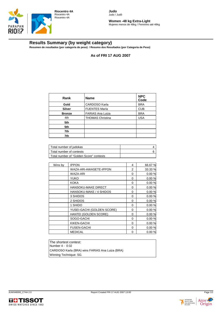

**Women -48 kg Extra-Light** Mujeres menos de 48kg / Feminino até 48kg

## **Results Summary (by weight category)**

**Resumen de resultados (por categoría de peso) / Resumo dos Resultados (por Categoria de Peso)**

**As of FRI 17 AUG 2007**

| Rank          | <b>Name</b>             | <b>NPC</b><br>Code |
|---------------|-------------------------|--------------------|
| Gold          | CARDOSO Karla           | <b>BRA</b>         |
| <b>Silver</b> | <b>FUENTES María</b>    | <b>CUB</b>         |
| <b>Bronze</b> | <b>FARIAS Ana Luiza</b> | <b>BRA</b>         |
| 4th           | <b>THOMAS Christina</b> | <b>USA</b>         |
| 5th           |                         |                    |
| 5th           |                         |                    |
| 7th           |                         |                    |
| 7th           |                         |                    |

| Total number of judokas                 |  |
|-----------------------------------------|--|
| Total number of contests                |  |
| Total number of "Golden Score" contests |  |

| Wins by | <b>IPPON</b>               | 4 | 66.67 % |
|---------|----------------------------|---|---------|
|         | WAZA-ARI-AWASETE-IPPON     | 2 | 33.33 % |
|         | WAZA-ARI                   | 0 | 0.00%   |
|         | <b>YUKO</b>                | 0 | 0.00%   |
|         | <b>KOKA</b>                | 0 | 0.00%   |
|         | <b>HANSOKU-MAKE DIRECT</b> | 0 | 0.00%   |
|         | HANSOKU-MAKE / 4 SHIDOS    | 0 | 0.00%   |
|         | 3 SHIDOS                   | 0 | 0.00%   |
|         | 2 SHIDOS                   | 0 | 0.00%   |
|         | 1 SHIDO                    | 0 | 0.00%   |
|         | YUSEI-GACHI (GOLDEN SCORE) | 0 | 0.00%   |
|         | HANTEI (GOLDEN SCORE)      | 0 | 0.00%   |
|         | SOGO-GACHI                 | 0 | 0.00%   |
|         | KIKEN-GACHI                | 0 | 0.00%   |
|         | <b>FUSEN-GACHI</b>         | 0 | 0.00%   |
|         | <b>MEDICAL</b>             | 0 | 0.00%   |
|         |                            |   |         |

The shortest contest: Number 4 - 0:32 CARDOSO Karla (BRA) wins FARIAS Ana Luiza (BRA) Winning Technique: SG.



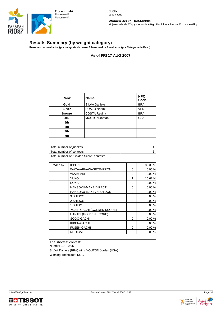

**Women -63 kg Half-Middle** Mujeres más de 57kg y menos de 63kg / Feminino acima de 57kg e até 63kg

## **Results Summary (by weight category)**

**Resumen de resultados (por categoría de peso) / Resumo dos Resultados (por Categoria de Peso)**

**As of FRI 17 AUG 2007**

**Judo** Judo / Judô

| Rank          | <b>Name</b>          | <b>NPC</b><br>Code |
|---------------|----------------------|--------------------|
| Gold          | SILVA Daniele        | <b>BRA</b>         |
| <b>Silver</b> | SOAZO Naomi          | <b>VEN</b>         |
| <b>Bronze</b> | COSTA Regina         | <b>BRA</b>         |
| 4th           | <b>MOUTON Jordan</b> | <b>USA</b>         |
| 5th           |                      |                    |
| 5th           |                      |                    |
| 7th           |                      |                    |
| 7th           |                      |                    |

| Total number of judokas                 |  |
|-----------------------------------------|--|
| Total number of contests                |  |
| Total number of "Golden Score" contests |  |

| <b>IPPON</b>               | 5        | 83.33 % |
|----------------------------|----------|---------|
| WAZA-ARI-AWASETE-IPPON     | 0        | 0.00%   |
| WAZA-ARI                   | 0        | 0.00%   |
| <b>YUKO</b>                | 1        | 16.67 % |
| <b>KOKA</b>                | 0        | 0.00%   |
| HANSOKU-MAKE DIRECT        | 0        | 0.00%   |
| HANSOKU-MAKE / 4 SHIDOS    | 0        | 0.00%   |
| 3 SHIDOS                   | 0        | 0.00%   |
| 2 SHIDOS                   | 0        | 0.00%   |
| 1 SHIDO                    | 0        | 0.00%   |
| YUSEI-GACHI (GOLDEN SCORE) | 0        | 0.00 %  |
| HANTEI (GOLDEN SCORE)      | 0        | 0.00%   |
| SOGO-GACHI                 | $\Omega$ | 0.00%   |
| KIKEN-GACHI                | 0        | 0.00%   |
| <b>FUSEN-GACHI</b>         | 0        | 0.00%   |
| <b>MEDICAL</b>             | 0        | 0.00%   |
|                            |          |         |

The shortest contest: Number 10 - 0:05 SILVA Daniele (BRA) wins MOUTON Jordan (USA) Winning Technique: KOG



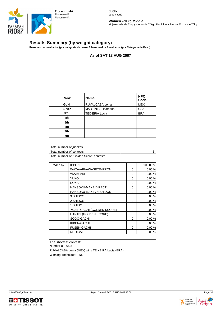

**Women -70 kg Middle** Mujeres más de 63kg y menos de 70kg / Feminino acima de 63kg e até 70kg

## **Results Summary (by weight category)**

**Resumen de resultados (por categoría de peso) / Resumo dos Resultados (por Categoria de Peso)**

**As of SAT 18 AUG 2007**

| Rank          | <b>Name</b>               | <b>NPC</b><br>Code |
|---------------|---------------------------|--------------------|
| Gold          | RUVALCABA Lenia           | <b>MEX</b>         |
| <b>Silver</b> | <b>MARTINEZ Lisamaria</b> | <b>USA</b>         |
| 3rd           | <b>TEIXEIRA Lucia</b>     | <b>BRA</b>         |
| 4th           |                           |                    |
| 5th           |                           |                    |
| 5th           |                           |                    |
| 7th           |                           |                    |
| 7th           |                           |                    |

| Total number of judokas                 |  |
|-----------------------------------------|--|
| Total number of contests                |  |
| Total number of "Golden Score" contests |  |

| <b>IPPON</b>               | 3        | 100.00 % |
|----------------------------|----------|----------|
| WAZA-ARI-AWASETE-IPPON     | 0        | 0.00%    |
| <b>WAZA-ARI</b>            | 0        | 0.00%    |
| <b>YUKO</b>                | 0        | 0.00%    |
| KOKA                       | 0        | 0.00%    |
| <b>HANSOKU-MAKE DIRECT</b> | 0        | 0.00%    |
| HANSOKU-MAKE / 4 SHIDOS    | 0        | 0.00%    |
| 3 SHIDOS                   | 0        | 0.00 %   |
| 2 SHIDOS                   | 0        | 0.00%    |
| 1 SHIDO                    | 0        | 0.00%    |
| YUSEI-GACHI (GOLDEN SCORE) | 0        | 0.00%    |
| HANTEI (GOLDEN SCORE)      | 0        | 0.00%    |
| SOGO-GACHI                 | $\Omega$ | 0.00%    |
| KIKEN-GACHI                | 0        | 0.00%    |
| <b>FUSEN-GACHI</b>         | 0        | 0.00%    |
| <b>MEDICAL</b>             | 0        | 0.00%    |
|                            |          |          |

The shortest contest: Number 8 - 0:25 RUVALCABA Lenia (MEX) wins TEIXEIRA Lucia (BRA) Winning Technique: TNO



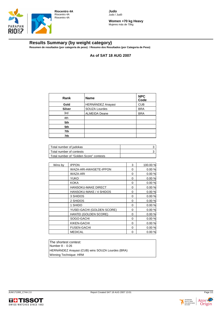



**Women +70 kg Heavy** Mujeres más de 70kg

## **Results Summary (by weight category)**

**Resumen de resultados (por categoría de peso) / Resumo dos Resultados (por Categoria de Peso)**

**As of SAT 18 AUG 2007**

| Rank          | <b>Name</b>          | <b>NPC</b><br>Code |
|---------------|----------------------|--------------------|
| Gold          | HERNÁNDEZ Anayasi    | <b>CUB</b>         |
| <b>Silver</b> | SOUZA Lourdes        | <b>BRA</b>         |
| 3rd           | <b>ALMEIDA Deane</b> | <b>BRA</b>         |
| 4th           |                      |                    |
| 5th           |                      |                    |
| 5th           |                      |                    |
| 7th           |                      |                    |
| 7th           |                      |                    |

| Total number of judokas                 |  |
|-----------------------------------------|--|
| Total number of contests                |  |
| Total number of "Golden Score" contests |  |

| <b>IPPON</b>               | 3        | 100.00 % |
|----------------------------|----------|----------|
| WAZA-ARI-AWASETE-IPPON     | 0        | 0.00%    |
| WAZA-ARI                   | 0        | 0.00%    |
| <b>YUKO</b>                | 0        | 0.00 %   |
| <b>KOKA</b>                | 0        | 0.00%    |
| <b>HANSOKU-MAKE DIRECT</b> | 0        | 0.00%    |
| HANSOKU-MAKE / 4 SHIDOS    | 0        | 0.00%    |
| 3 SHIDOS                   | 0        | 0.00 %   |
| 2 SHIDOS                   | 0        | 0.00%    |
| 1 SHIDO                    | 0        | 0.00%    |
| YUSEI-GACHI (GOLDEN SCORE) | 0        | 0.00 %   |
| HANTEI (GOLDEN SCORE)      | 0        | 0.00%    |
| SOGO-GACHI                 | $\Omega$ | 0.00%    |
| KIKEN-GACHI                | 0        | 0.00%    |
| <b>FUSEN-GACHI</b>         | 0        | 0.00%    |
| <b>MEDICAL</b>             | 0        | 0.00%    |
|                            |          |          |

The shortest contest: Number 8 - 0:26 HERNÁNDEZ Anayasi (CUB) wins SOUZA Lourdes (BRA) Winning Technique: HRM



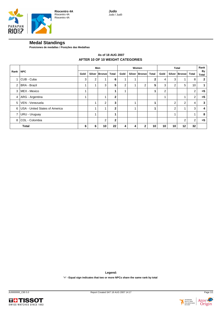

#### **Medal Standings**

**Posiciones de medallas / Posições das Medalhas**

#### **AFTER 10 OF 10 WEIGHT CATEGORIES As of 18 AUG 2007**

|                | <b>NPC</b>                     | Men  |                |               | Women        |      |   | <b>Total</b>  |              |      |        | Rank           |                |             |
|----------------|--------------------------------|------|----------------|---------------|--------------|------|---|---------------|--------------|------|--------|----------------|----------------|-------------|
| Rank           |                                | Gold |                | Silver Bronze | <b>Total</b> | Gold |   | Silver Bronze | <b>Total</b> | Gold | Silver | <b>Bronze</b>  | Total          | By<br>Total |
|                | CUB - Cuba                     | 3    | $\overline{2}$ |               | 6            |      |   |               | 2            | 4    | 3      |                | 8              | 2           |
| $\overline{2}$ | <b>BRA - Brazil</b>            |      | 1              | 3             | 5            | 2    |   | 2             | 5            | 3    | 2      | 5              | 10             |             |
| 3              | MEX - Mexico                   |      |                |               |              |      |   |               |              | 2    |        |                | 2              | $=5$        |
| 4              | ARG - Argentina                |      |                |               | $\mathbf{2}$ |      |   |               |              |      |        |                | $\overline{2}$ | $=5$        |
| 5              | VEN - Venezuela                |      | 1              | 2             | 3            |      |   |               |              |      | 2      | $\overline{2}$ | 4              | 3           |
| 6              | USA - United States of America |      |                |               | $\mathbf{2}$ |      |   |               |              |      | 2      |                | 3              | 4           |
| 7              | URU - Uruguay                  |      |                |               |              |      |   |               |              |      |        |                |                | 8           |
| 8              | COL - Colombia                 |      |                | 2             | $\mathbf{2}$ |      |   |               |              |      |        | 2              | $\overline{2}$ | $= 5$       |
|                | <b>Total</b>                   | 6    | 6              | 10            | 22           | 4    | 4 | ົ             | 10           | 10   | 10     | 12             | 32             |             |

**Legend:**

**'=' - Equal sign indicates that two or more NPCs share the same rank by total**



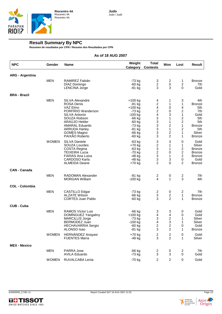

## **Result Summary By NPC**

**Resumen de resultados por CPN / Resumo dos Resultados por CPN**

#### **As of 18 AUG 2007**

| <b>NPC</b>             | Gender       | <b>Name</b>                                                                                                                                                                                                              | Weight<br>Category                                                                                                            | <b>Total</b><br><b>Contests</b>                                                                                | Won                                                                                                                    | Lost                                                                                                                                            | Result                                                                                                       |
|------------------------|--------------|--------------------------------------------------------------------------------------------------------------------------------------------------------------------------------------------------------------------------|-------------------------------------------------------------------------------------------------------------------------------|----------------------------------------------------------------------------------------------------------------|------------------------------------------------------------------------------------------------------------------------|-------------------------------------------------------------------------------------------------------------------------------------------------|--------------------------------------------------------------------------------------------------------------|
| <b>ARG - Argentina</b> |              |                                                                                                                                                                                                                          |                                                                                                                               |                                                                                                                |                                                                                                                        |                                                                                                                                                 |                                                                                                              |
|                        | <b>MEN</b>   | RAMIREZ Fabián<br>DIAZ Domingo<br><b>LENCINA Jorge</b>                                                                                                                                                                   | -73 kg<br>$-60$ kg<br>$-81$ kg                                                                                                | 3<br>$\overline{c}$<br>3                                                                                       | 2<br>0<br>3                                                                                                            | 1<br>$\overline{\mathbf{c}}$<br>0                                                                                                               | <b>Bronze</b><br>7th<br>Gold                                                                                 |
| <b>BRA - Brazil</b>    |              |                                                                                                                                                                                                                          |                                                                                                                               |                                                                                                                |                                                                                                                        |                                                                                                                                                 |                                                                                                              |
|                        | <b>MEN</b>   | <b>SILVA Alexandre</b><br><b>ROSA Denis</b><br>VAZ Elmo<br>PORFIRIO Wanderson<br>SILVA Antonio<br>SOUZA Robson<br>ARAUJO Helder<br><b>AMARAL Eduardo</b><br><b>ARRUDA Harley</b><br><b>GOMES Magno</b><br>PAIXÃO Roberto | +100 kg<br>$-81$ kg<br>$+100$ kg<br>-73 kg<br>$-100$ kg<br>$-66$ kg<br>$-60$ kg<br>-73 kg<br>$-81$ kg<br>$-66$ kg<br>$-60$ kg | 4<br>$\overline{c}$<br>4<br>$\overline{\mathbf{c}}$<br>4<br>$\ensuremath{\mathsf{3}}$<br>3<br>3<br>3<br>3<br>3 | 1<br>1<br>0<br>0<br>3<br>1<br>1<br>$\overline{\mathbf{c}}$<br>$\mathbf 1$<br>$\overline{\mathbf{c}}$<br>$\overline{2}$ | 3<br>1<br>4<br>$\overline{\mathbf{c}}$<br>1<br>$\overline{c}$<br>$\overline{c}$<br>$\mathbf{1}$<br>$\overline{\mathbf{c}}$<br>1<br>$\mathbf{1}$ | 4th.<br><b>Bronze</b><br>5th<br>7th<br>Gold<br>5th<br>5th<br><b>Bronze</b><br>5th<br>Silver<br><b>Bronze</b> |
|                        | <b>WOMEN</b> | SILVA Daniele<br>SOUZA Lourdes<br>COSTA Regina<br><b>TEIXEIRA Lucia</b><br><b>FARIAS Ana Luiza</b><br><b>CARDOSO Karla</b><br><b>ALMEIDA Deane</b>                                                                       | $-63$ kg<br>+70 kg<br>$-63$ kg<br>-70 kg<br>-48 kg<br>-48 kg<br>+70 kg                                                        | 3<br>$\boldsymbol{2}$<br>3<br>$\overline{\mathbf{c}}$<br>3<br>3<br>$\overline{2}$                              | 3<br>1<br>1<br>0<br>1<br>3<br>0                                                                                        | 0<br>1<br>2<br>$\overline{\mathbf{c}}$<br>$\overline{c}$<br>0<br>$\overline{2}$                                                                 | Gold<br>Silver<br><b>Bronze</b><br><b>Bronze</b><br><b>Bronze</b><br>Gold<br><b>Bronze</b>                   |
| <b>CAN - Canada</b>    |              |                                                                                                                                                                                                                          |                                                                                                                               |                                                                                                                |                                                                                                                        |                                                                                                                                                 |                                                                                                              |
|                        | <b>MEN</b>   | <b>RADOMAN Alexander</b><br><b>MORGAN William</b>                                                                                                                                                                        | $-81$ kg<br>$-100$ kg                                                                                                         | 2<br>4                                                                                                         | 0<br>$\mathbf{1}$                                                                                                      | 2<br>3                                                                                                                                          | 7th<br>4th                                                                                                   |
| <b>COL - Colombia</b>  |              |                                                                                                                                                                                                                          |                                                                                                                               |                                                                                                                |                                                                                                                        |                                                                                                                                                 |                                                                                                              |
|                        | <b>MEN</b>   | CASTILLO Edgar<br><b>ALZATE Wilson</b><br><b>CORTES Juan Pablo</b>                                                                                                                                                       | -73 kg<br>$-66$ kg<br>-60 kg                                                                                                  | $\overline{c}$<br>3<br>3                                                                                       | 0<br>$\overline{\mathbf{c}}$<br>$\overline{2}$                                                                         | 2<br>1<br>1                                                                                                                                     | 7th<br><b>Bronze</b><br><b>Bronze</b>                                                                        |
| <b>CUB - Cuba</b>      |              |                                                                                                                                                                                                                          |                                                                                                                               |                                                                                                                |                                                                                                                        |                                                                                                                                                 |                                                                                                              |
|                        | <b>MEN</b>   | <b>RAMOS Víctor Luis</b><br>DOMINGUEZ Yangaliny<br>MARCILLIS Jorge<br>BERMUDEZ Juan<br><b>HECHAVARRIA Sergio</b><br>ALONSO Isao                                                                                          | $-66$ kg<br>+100 kg<br>$-73$ kg<br>-100 kg<br>$-60$ kg<br>$-81$ kg                                                            | 3<br>$\overline{\mathbf{4}}$<br>3<br>4<br>$\overline{2}$<br>3                                                  | 3<br>4<br>$\overline{\mathbf{c}}$<br>3<br>$\overline{2}$<br>2                                                          | 0<br>0<br>1<br>1<br>0<br>1                                                                                                                      | Gold<br>Gold<br>Silver<br>Silver<br>Gold<br><b>Bronze</b>                                                    |
|                        | <b>WOMEN</b> | HERNÁNDEZ Anayasi<br><b>FUENTES María</b>                                                                                                                                                                                | $+70$ kg<br>-48 kg                                                                                                            | 2<br>3                                                                                                         | 2<br>2                                                                                                                 | 0<br>$\mathbf{1}$                                                                                                                               | Gold<br>Silver                                                                                               |
| <b>MEX - Mexico</b>    |              |                                                                                                                                                                                                                          |                                                                                                                               |                                                                                                                |                                                                                                                        |                                                                                                                                                 |                                                                                                              |
|                        | <b>MEN</b>   | PARRA Jose<br><b>AVILA Eduardo</b>                                                                                                                                                                                       | $-66$ kg<br>$-73$ kg                                                                                                          | 2<br>3                                                                                                         | 0<br>3                                                                                                                 | 2<br>$\pmb{0}$                                                                                                                                  | 7th<br>Gold                                                                                                  |
|                        | <b>WOMEN</b> | RUVALCABA Lenia                                                                                                                                                                                                          | $-70$ kg                                                                                                                      | 2                                                                                                              | $\overline{c}$                                                                                                         | $\pmb{0}$                                                                                                                                       | Gold                                                                                                         |